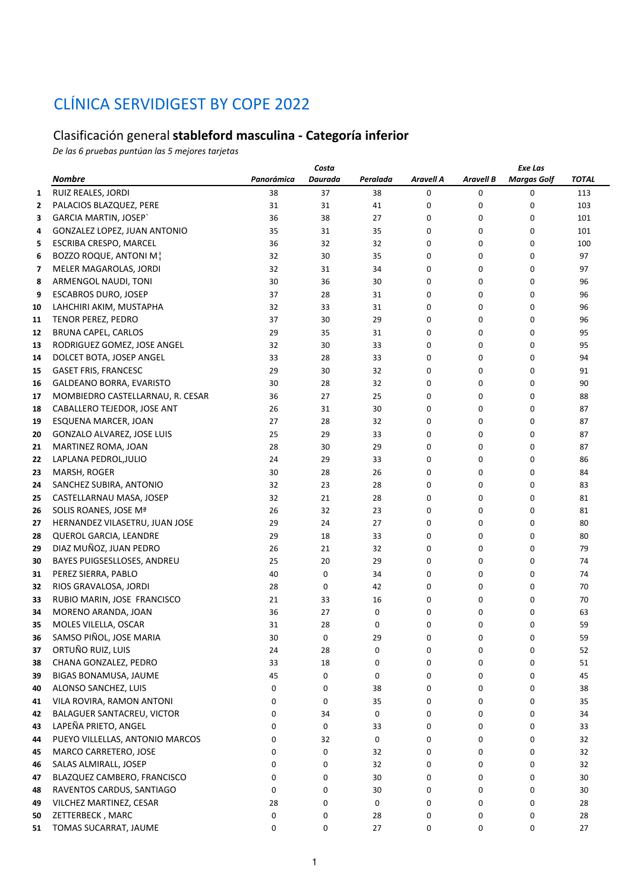## CLÍNICA SERVIDIGEST BY COPE 2022

## Clasificación general **stableford masculina - Categoría inferior**

*De las 6 pruebas puntúan las 5 mejores tarjetas*

|    |                                     | Exe Las    |         |          |           |                  |                    |       |
|----|-------------------------------------|------------|---------|----------|-----------|------------------|--------------------|-------|
|    | <b>Nombre</b>                       | Panorámica | Daurada | Peralada | Aravell A | <b>Aravell B</b> | <b>Margas Golf</b> | TOTAL |
| 1  | RUIZ REALES, JORDI                  | 38         | 37      | 38       | 0         | 0                | 0                  | 113   |
| 2  | PALACIOS BLAZQUEZ, PERE             | 31         | 31      | 41       | 0         | 0                | 0                  | 103   |
| 3  | <b>GARCIA MARTIN, JOSEP</b>         | 36         | 38      | 27       | 0         | 0                | 0                  | 101   |
| 4  | <b>GONZALEZ LOPEZ, JUAN ANTONIO</b> | 35         | 31      | 35       | 0         | 0                | 0                  | 101   |
| 5  | ESCRIBA CRESPO, MARCEL              | 36         | 32      | 32       | 0         | 0                | 0                  | 100   |
| 6  | BOZZO ROQUE, ANTONI M!              | 32         | 30      | 35       | 0         | 0                | 0                  | 97    |
| 7  | MELER MAGAROLAS, JORDI              | 32         | 31      | 34       | 0         | 0                | 0                  | 97    |
| 8  | ARMENGOL NAUDI, TONI                | 30         | 36      | 30       | 0         | 0                | 0                  | 96    |
| 9  | ESCABROS DURO, JOSEP                | 37         | 28      | 31       | 0         | 0                | 0                  | 96    |
| 10 | LAHCHIRI AKIM, MUSTAPHA             | 32         | 33      | 31       | 0         | 0                | 0                  | 96    |
| 11 | TENOR PEREZ, PEDRO                  | 37         | 30      | 29       | 0         | 0                | 0                  | 96    |
| 12 | <b>BRUNA CAPEL, CARLOS</b>          | 29         | 35      | 31       | 0         | 0                | 0                  | 95    |
| 13 | RODRIGUEZ GOMEZ, JOSE ANGEL         | 32         | 30      | 33       | 0         | 0                | 0                  | 95    |
| 14 | DOLCET BOTA, JOSEP ANGEL            | 33         | 28      | 33       | 0         | 0                | 0                  | 94    |
| 15 | <b>GASET FRIS, FRANCESC</b>         | 29         | 30      | 32       | 0         | 0                | 0                  | 91    |
| 16 | GALDEANO BORRA, EVARISTO            | 30         | 28      | 32       | 0         | 0                | 0                  | 90    |
| 17 | MOMBIEDRO CASTELLARNAU, R. CESAR    | 36         | 27      | 25       | 0         | 0                | 0                  | 88    |
| 18 | CABALLERO TEJEDOR, JOSE ANT         | 26         | 31      | 30       | 0         | 0                | 0                  | 87    |
| 19 | ESQUENA MARCER, JOAN                | 27         | 28      | 32       | 0         | 0                | 0                  | 87    |
| 20 | GONZALO ALVAREZ, JOSE LUIS          | 25         | 29      | 33       | 0         | 0                | 0                  | 87    |
| 21 | MARTINEZ ROMA, JOAN                 | 28         | 30      | 29       | 0         | 0                | 0                  | 87    |
| 22 | LAPLANA PEDROL, JULIO               | 24         | 29      | 33       | 0         | 0                | 0                  | 86    |
| 23 | MARSH, ROGER                        | 30         | 28      | 26       | 0         | 0                | 0                  | 84    |
| 24 | SANCHEZ SUBIRA, ANTONIO             | 32         | 23      | 28       | 0         | 0                | 0                  | 83    |
| 25 | CASTELLARNAU MASA, JOSEP            | 32         | 21      | 28       | 0         | 0                | 0                  | 81    |
| 26 | SOLIS ROANES, JOSE Mª               | 26         | 32      | 23       | 0         | 0                | 0                  | 81    |
| 27 | HERNANDEZ VILASETRU, JUAN JOSE      | 29         | 24      | 27       | 0         | 0                | 0                  | 80    |
| 28 | QUEROL GARCIA, LEANDRE              | 29         | 18      | 33       | 0         | 0                | 0                  | 80    |
| 29 | DIAZ MUÑOZ, JUAN PEDRO              | 26         | 21      | 32       | 0         | 0                | 0                  | 79    |
| 30 | BAYES PUIGSESLLOSES, ANDREU         | 25         | 20      | 29       | 0         | 0                | 0                  | 74    |
| 31 | PEREZ SIERRA, PABLO                 | 40         | 0       | 34       | 0         | 0                | 0                  | 74    |
| 32 | RIOS GRAVALOSA, JORDI               | 28         | 0       | 42       | 0         | 0                | 0                  | 70    |
| 33 | RUBIO MARIN, JOSE FRANCISCO         | 21         | 33      | 16       | 0         | 0                | 0                  | 70    |
| 34 | MORENO ARANDA, JOAN                 | 36         | 27      | 0        | 0         | 0                | 0                  | 63    |
| 35 | MOLES VILELLA, OSCAR                | 31         | 28      | 0        | 0         | 0                | 0                  | 59    |
| 36 | SAMSO PIÑOL, JOSE MARIA             | 30         | 0       | 29       | 0         | 0                | 0                  | 59    |
| 37 | ORTUÑO RUIZ, LUIS                   | 24         | 28      | 0        | 0         | 0                | 0                  | 52    |
| 38 | CHANA GONZALEZ, PEDRO               | 33         | 18      | 0        | 0         | 0                | 0                  | 51    |
| 39 | BIGAS BONAMUSA, JAUME               | 45         | 0       | 0        | 0         | 0                | 0                  | 45    |
| 40 | ALONSO SANCHEZ, LUIS                | 0          | 0       | 38       | 0         | 0                | 0                  | 38    |
| 41 | VILA ROVIRA, RAMON ANTONI           | 0          | 0       | 35       | 0         | 0                | 0                  | 35    |
| 42 | BALAGUER SANTACREU, VICTOR          | 0          | 34      | 0        | 0         | 0                | 0                  | 34    |
| 43 | LAPEÑA PRIETO, ANGEL                | 0          | 0       | 33       | 0         | 0                | 0                  | 33    |
| 44 | PUEYO VILLELLAS, ANTONIO MARCOS     | 0          | 32      | 0        | 0         | 0                | 0                  | 32    |
| 45 | MARCO CARRETERO, JOSE               | 0          | 0       | 32       | 0         | 0                | 0                  | 32    |
| 46 | SALAS ALMIRALL, JOSEP               | 0          | 0       | 32       | 0         | 0                | 0                  | 32    |
| 47 | BLAZQUEZ CAMBERO, FRANCISCO         | 0          | 0       | 30       | 0         | 0                | 0                  | 30    |
| 48 | RAVENTOS CARDUS, SANTIAGO           | 0          | 0       | 30       | 0         | 0                | 0                  | 30    |
| 49 | VILCHEZ MARTINEZ, CESAR             | 28         | 0       | 0        | 0         | 0                | 0                  | 28    |
| 50 | ZETTERBECK, MARC                    | 0          | 0       | 28       | 0         | 0                | 0                  | 28    |
| 51 | TOMAS SUCARRAT, JAUME               | 0          | 0       | 27       | 0         | 0                | 0                  | 27    |